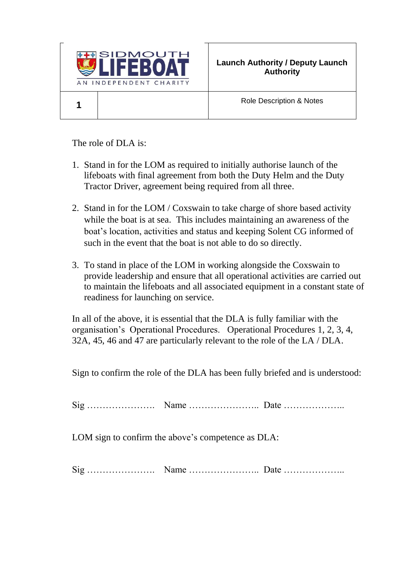

Role Description & Notes

The role of DLA is:

- 1. Stand in for the LOM as required to initially authorise launch of the lifeboats with final agreement from both the Duty Helm and the Duty Tractor Driver, agreement being required from all three.
- 2. Stand in for the LOM / Coxswain to take charge of shore based activity while the boat is at sea. This includes maintaining an awareness of the boat's location, activities and status and keeping Solent CG informed of such in the event that the boat is not able to do so directly.
- 3. To stand in place of the LOM in working alongside the Coxswain to provide leadership and ensure that all operational activities are carried out to maintain the lifeboats and all associated equipment in a constant state of readiness for launching on service.

In all of the above, it is essential that the DLA is fully familiar with the organisation's Operational Procedures. Operational Procedures 1, 2, 3, 4, 32A, 45, 46 and 47 are particularly relevant to the role of the LA / DLA.

Sign to confirm the role of the DLA has been fully briefed and is understood:

Sig …………………. Name ………………….. Date ………………..

LOM sign to confirm the above's competence as DLA:

Sig …………………. Name ………………….. Date ………………..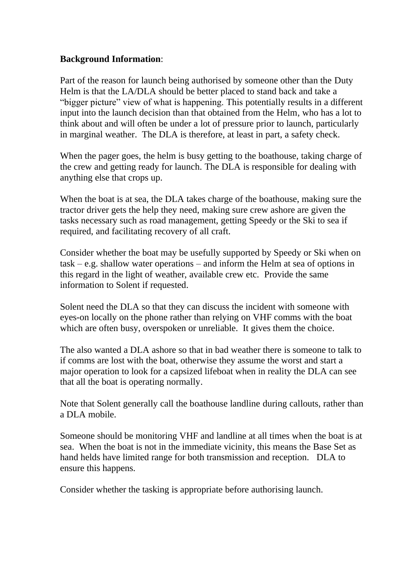## **Background Information**:

Part of the reason for launch being authorised by someone other than the Duty Helm is that the LA/DLA should be better placed to stand back and take a "bigger picture" view of what is happening. This potentially results in a different input into the launch decision than that obtained from the Helm, who has a lot to think about and will often be under a lot of pressure prior to launch, particularly in marginal weather. The DLA is therefore, at least in part, a safety check.

When the pager goes, the helm is busy getting to the boathouse, taking charge of the crew and getting ready for launch. The DLA is responsible for dealing with anything else that crops up.

When the boat is at sea, the DLA takes charge of the boathouse, making sure the tractor driver gets the help they need, making sure crew ashore are given the tasks necessary such as road management, getting Speedy or the Ski to sea if required, and facilitating recovery of all craft.

Consider whether the boat may be usefully supported by Speedy or Ski when on task – e.g. shallow water operations – and inform the Helm at sea of options in this regard in the light of weather, available crew etc. Provide the same information to Solent if requested.

Solent need the DLA so that they can discuss the incident with someone with eyes-on locally on the phone rather than relying on VHF comms with the boat which are often busy, overspoken or unreliable. It gives them the choice.

The also wanted a DLA ashore so that in bad weather there is someone to talk to if comms are lost with the boat, otherwise they assume the worst and start a major operation to look for a capsized lifeboat when in reality the DLA can see that all the boat is operating normally.

Note that Solent generally call the boathouse landline during callouts, rather than a DLA mobile.

Someone should be monitoring VHF and landline at all times when the boat is at sea. When the boat is not in the immediate vicinity, this means the Base Set as hand helds have limited range for both transmission and reception. DLA to ensure this happens.

Consider whether the tasking is appropriate before authorising launch.